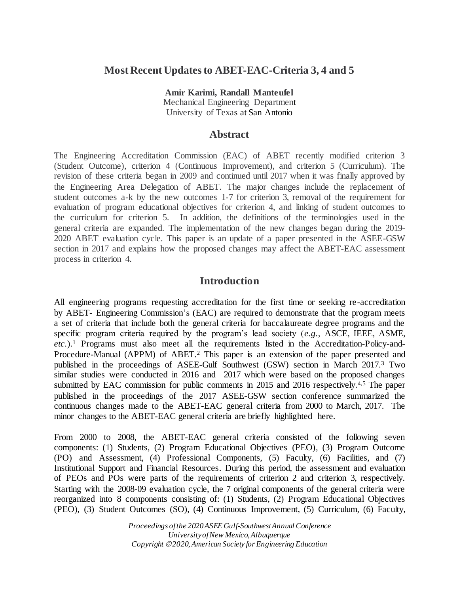## **Most Recent Updatesto ABET-EAC-Criteria 3, 4 and 5**

**Amir Karimi, Randall Manteufel**  Mechanical Engineering Department University of Texas at San Antonio

## **Abstract**

The Engineering Accreditation Commission (EAC) of ABET recently modified criterion 3 (Student Outcome), criterion 4 (Continuous Improvement), and criterion 5 (Curriculum). The revision of these criteria began in 2009 and continued until 2017 when it was finally approved by the Engineering Area Delegation of ABET. The major changes include the replacement of student outcomes a-k by the new outcomes 1-7 for criterion 3, removal of the requirement for evaluation of program educational objectives for criterion 4, and linking of student outcomes to the curriculum for criterion 5. In addition, the definitions of the terminologies used in the general criteria are expanded. The implementation of the new changes began during the 2019- 2020 ABET evaluation cycle. This paper is an update of a paper presented in the ASEE-GSW section in 2017 and explains how the proposed changes may affect the ABET-EAC assessment process in criterion 4.

## **Introduction**

All engineering programs requesting accreditation for the first time or seeking re-accreditation by ABET- Engineering Commission's (EAC) are required to demonstrate that the program meets a set of criteria that include both the general criteria for baccalaureate degree programs and the specific program criteria required by the program's lead society (*e.g.,* ASCE, IEEE, ASME, *etc.*).<sup>1</sup> Programs must also meet all the requirements listed in the Accreditation-Policy-and-Procedure-Manual (APPM) of ABET.<sup>2</sup> This paper is an extension of the paper presented and published in the proceedings of ASEE-Gulf Southwest (GSW) section in March 2017.<sup>3</sup> Two similar studies were conducted in 2016 and 2017 which were based on the proposed changes submitted by EAC commission for public comments in 2015 and 2016 respectively.<sup>4,5</sup> The paper published in the proceedings of the 2017 ASEE-GSW section conference summarized the continuous changes made to the ABET-EAC general criteria from 2000 to March, 2017. The minor changes to the ABET-EAC general criteria are briefly highlighted here.

From 2000 to 2008, the ABET-EAC general criteria consisted of the following seven components: (1) Students, (2) Program Educational Objectives (PEO), (3) Program Outcome (PO) and Assessment, (4) Professional Components, (5) Faculty, (6) Facilities, and (7) Institutional Support and Financial Resources. During this period, the assessment and evaluation of PEOs and POs were parts of the requirements of criterion 2 and criterion 3, respectively. Starting with the 2008-09 evaluation cycle, the 7 original components of the general criteria were reorganized into 8 components consisting of: (1) Students, (2) Program Educational Objectives (PEO), (3) Student Outcomes (SO), (4) Continuous Improvement, (5) Curriculum, (6) Faculty,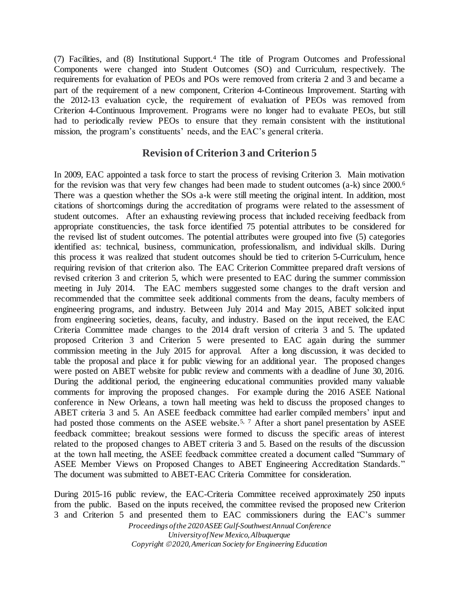(7) Facilities, and (8) Institutional Support.<sup>4</sup> The title of Program Outcomes and Professional Components were changed into Student Outcomes (SO) and Curriculum, respectively. The requirements for evaluation of PEOs and POs were removed from criteria 2 and 3 and became a part of the requirement of a new component, Criterion 4-Contineous Improvement. Starting with the 2012-13 evaluation cycle, the requirement of evaluation of PEOs was removed from Criterion 4-Continuous Improvement. Programs were no longer had to evaluate PEOs, but still had to periodically review PEOs to ensure that they remain consistent with the institutional mission, the program's constituents' needs, and the EAC's general criteria.

# **Revision of Criterion 3 and Criterion 5**

In 2009, EAC appointed a task force to start the process of revising Criterion 3. Main motivation for the revision was that very few changes had been made to student outcomes (a-k) since 2000.<sup>6</sup> There was a question whether the SOs a-k were still meeting the original intent. In addition, most citations of shortcomings during the accreditation of programs were related to the assessment of student outcomes. After an exhausting reviewing process that included receiving feedback from appropriate constituencies, the task force identified 75 potential attributes to be considered for the revised list of student outcomes. The potential attributes were grouped into five (5) categories identified as: technical, business, communication, professionalism, and individual skills. During this process it was realized that student outcomes should be tied to criterion 5-Curriculum, hence requiring revision of that criterion also. The EAC Criterion Committee prepared draft versions of revised criterion 3 and criterion 5, which were presented to EAC during the summer commission meeting in July 2014. The EAC members suggested some changes to the draft version and recommended that the committee seek additional comments from the deans, faculty members of engineering programs, and industry. Between July 2014 and May 2015, ABET solicited input from engineering societies, deans, faculty, and industry. Based on the input received, the EAC Criteria Committee made changes to the 2014 draft version of criteria 3 and 5. The updated proposed Criterion 3 and Criterion 5 were presented to EAC again during the summer commission meeting in the July 2015 for approval. After a long discussion, it was decided to table the proposal and place it for public viewing for an additional year. The proposed changes were posted on ABET website for public review and comments with a deadline of June 30, 2016. During the additional period, the engineering educational communities provided many valuable comments for improving the proposed changes. For example during the 2016 ASEE National conference in New Orleans, a town hall meeting was held to discuss the proposed changes to ABET criteria 3 and 5. An ASEE feedback committee had earlier compiled members' input and had posted those comments on the ASEE website.<sup>5, 7</sup> After a short panel presentation by ASEE feedback committee; breakout sessions were formed to discuss the specific areas of interest related to the proposed changes to ABET criteria 3 and 5. Based on the results of the discussion at the town hall meeting, the ASEE feedback committee created a document called "Summary of ASEE Member Views on Proposed Changes to ABET Engineering Accreditation Standards." The document was submitted to ABET-EAC Criteria Committee for consideration.

During 2015-16 public review, the EAC-Criteria Committee received approximately 250 inputs from the public. Based on the inputs received, the committee revised the proposed new Criterion 3 and Criterion 5 and presented them to EAC commissioners during the EAC's summer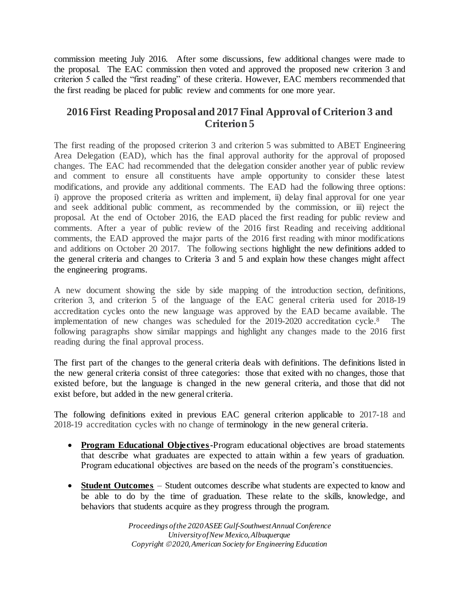commission meeting July 2016. After some discussions, few additional changes were made to the proposal. The EAC commission then voted and approved the proposed new criterion 3 and criterion 5 called the "first reading" of these criteria. However, EAC members recommended that the first reading be placed for public review and comments for one more year.

# **2016 First Reading Proposaland 2017 Final Approval of Criterion 3 and Criterion 5**

The first reading of the proposed criterion 3 and criterion 5 was submitted to ABET Engineering Area Delegation (EAD), which has the final approval authority for the approval of proposed changes. The EAC had recommended that the delegation consider another year of public review and comment to ensure all constituents have ample opportunity to consider these latest modifications, and provide any additional comments. The EAD had the following three options: i) approve the proposed criteria as written and implement, ii) delay final approval for one year and seek additional public comment, as recommended by the commission, or iii) reject the proposal. At the end of October 2016, the EAD placed the first reading for public review and comments. After a year of public review of the 2016 first Reading and receiving additional comments, the EAD approved the major parts of the 2016 first reading with minor modifications and additions on October 20 2017. The following sections highlight the new definitions added to the general criteria and changes to Criteria 3 and 5 and explain how these changes might affect the engineering programs.

A new document showing the side by side mapping of the introduction section, definitions, criterion 3, and criterion 5 of the language of the EAC general criteria used for 2018-19 accreditation cycles onto the new language was approved by the EAD became available. The implementation of new changes was scheduled for the 2019-2020 accreditation cycle.<sup>8</sup> The following paragraphs show similar mappings and highlight any changes made to the 2016 first reading during the final approval process.

The first part of the changes to the general criteria deals with definitions. The definitions listed in the new general criteria consist of three categories: those that exited with no changes, those that existed before, but the language is changed in the new general criteria, and those that did not exist before, but added in the new general criteria.

The following definitions exited in previous EAC general criterion applicable to 2017-18 and 2018-19 accreditation cycles with no change of terminology in the new general criteria.

- **Program Educational Objectives-**Program educational objectives are broad statements that describe what graduates are expected to attain within a few years of graduation. Program educational objectives are based on the needs of the program's constituencies.
- **Student Outcomes** Student outcomes describe what students are expected to know and be able to do by the time of graduation. These relate to the skills, knowledge, and behaviors that students acquire as they progress through the program.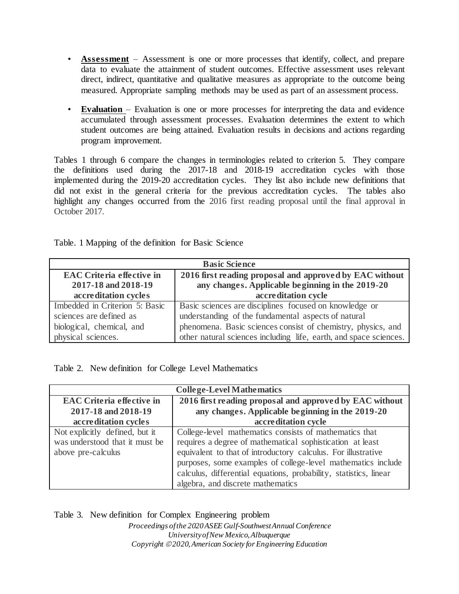- **Assessment** Assessment is one or more processes that identify, collect, and prepare data to evaluate the attainment of student outcomes. Effective assessment uses relevant direct, indirect, quantitative and qualitative measures as appropriate to the outcome being measured. Appropriate sampling methods may be used as part of an assessment process.
- **Evaluation** Evaluation is one or more processes for interpreting the data and evidence accumulated through assessment processes. Evaluation determines the extent to which student outcomes are being attained. Evaluation results in decisions and actions regarding program improvement.

Tables 1 through 6 compare the changes in terminologies related to criterion 5. They compare the definitions used during the 2017-18 and 2018-19 accreditation cycles with those implemented during the 2019-20 accreditation cycles. They list also include new definitions that did not exist in the general criteria for the previous accreditation cycles. The tables also highlight any changes occurred from the 2016 first reading proposal until the final approval in October 2017.

|  |  |  | Table. 1 Mapping of the definition for Basic Science |  |
|--|--|--|------------------------------------------------------|--|
|--|--|--|------------------------------------------------------|--|

| <b>Basic Science</b>                                    |                                                                                                             |  |  |
|---------------------------------------------------------|-------------------------------------------------------------------------------------------------------------|--|--|
| <b>EAC Criteria effective in</b><br>2017-18 and 2018-19 | 2016 first reading proposal and approved by EAC without<br>any changes. Applicable beginning in the 2019-20 |  |  |
| accreditation cycles                                    | accreditation cycle                                                                                         |  |  |
| Imbedded in Criterion 5: Basic                          | Basic sciences are disciplines focused on knowledge or                                                      |  |  |
| sciences are defined as                                 | understanding of the fundamental aspects of natural                                                         |  |  |
| biological, chemical, and                               | phenomena. Basic sciences consist of chemistry, physics, and                                                |  |  |
| physical sciences.                                      | other natural sciences including life, earth, and space sciences.                                           |  |  |

Table 2. New definition for College Level Mathematics

| <b>College-Level Mathematics</b> |                                                                   |  |  |
|----------------------------------|-------------------------------------------------------------------|--|--|
| <b>EAC Criteria effective in</b> | 2016 first reading proposal and approved by EAC without           |  |  |
| 2017-18 and 2018-19              | any changes. Applicable beginning in the 2019-20                  |  |  |
| accreditation cycles             | accreditation cycle                                               |  |  |
| Not explicitly defined, but it   | College-level mathematics consists of mathematics that            |  |  |
| was understood that it must be   | requires a degree of mathematical sophistication at least         |  |  |
| above pre-calculus               | equivalent to that of introductory calculus. For illustrative     |  |  |
|                                  | purposes, some examples of college-level mathematics include      |  |  |
|                                  | calculus, differential equations, probability, statistics, linear |  |  |
|                                  | algebra, and discrete mathematics                                 |  |  |

Table 3. New definition for Complex Engineering problem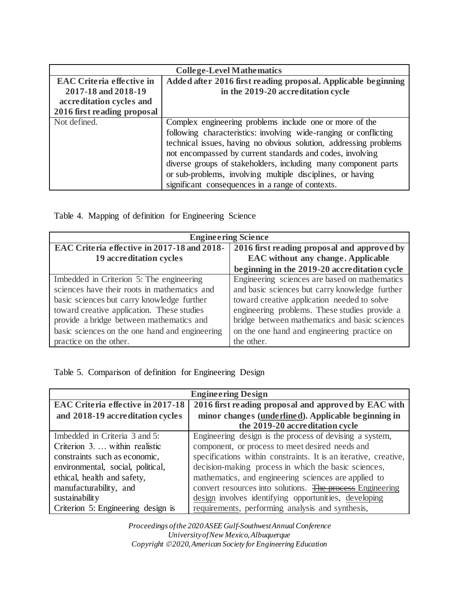| <b>College-Level Mathematics</b>                 |                                                                   |  |  |
|--------------------------------------------------|-------------------------------------------------------------------|--|--|
| <b>EAC Criteria effective in</b>                 | Added after 2016 first reading proposal. Applicable beginning     |  |  |
| 2017-18 and 2018-19                              | in the 2019-20 accreditation cycle                                |  |  |
| accreditation cycles and                         |                                                                   |  |  |
| 2016 first reading proposal                      |                                                                   |  |  |
| Not defined.                                     | Complex engineering problems include one or more of the           |  |  |
|                                                  | following characteristics: involving wide-ranging or conflicting  |  |  |
|                                                  | technical issues, having no obvious solution, addressing problems |  |  |
|                                                  | not encompassed by current standards and codes, involving         |  |  |
|                                                  | diverse groups of stakeholders, including many component parts    |  |  |
|                                                  | or sub-problems, involving multiple disciplines, or having        |  |  |
| significant consequences in a range of contexts. |                                                                   |  |  |

Table 4. Mapping of definition for Engineering Science

| <b>Engineering Science</b>                     |                                                |  |  |
|------------------------------------------------|------------------------------------------------|--|--|
| EAC Criteria effective in 2017-18 and 2018-    | 2016 first reading proposal and approved by    |  |  |
| 19 accreditation cycles                        | <b>EAC</b> without any change. Applicable      |  |  |
|                                                | beginning in the 2019-20 accreditation cycle   |  |  |
| Imbedded in Criterion 5: The engineering       | Engineering sciences are based on mathematics  |  |  |
| sciences have their roots in mathematics and   | and basic sciences but carry knowledge further |  |  |
| basic sciences but carry knowledge further     | toward creative application needed to solve    |  |  |
| toward creative application. These studies     | engineering problems. These studies provide a  |  |  |
| provide a bridge between mathematics and       | bridge between mathematics and basic sciences  |  |  |
| basic sciences on the one hand and engineering | on the one hand and engineering practice on    |  |  |
| practice on the other.                         | the other.                                     |  |  |

Table 5. Comparison of definition for Engineering Design

| <b>Engineering Design</b>                |                                                                  |  |  |
|------------------------------------------|------------------------------------------------------------------|--|--|
| <b>EAC Criteria effective in 2017-18</b> | 2016 first reading proposal and approved by EAC with             |  |  |
| and 2018-19 accreditation cycles         | minor changes (underlined). Applicable beginning in              |  |  |
|                                          | the 2019-20 accreditation cycle                                  |  |  |
| Imbedded in Criteria 3 and 5:            | Engineering design is the process of devising a system,          |  |  |
| Criterion 3.  within realistic           | component, or process to meet desired needs and                  |  |  |
| constraints such as economic,            | specifications within constraints. It is an iterative, creative, |  |  |
| environmental, social, political,        | decision-making process in which the basic sciences,             |  |  |
| ethical, health and safety,              | mathematics, and engineering sciences are applied to             |  |  |
| manufacturability, and                   | convert resources into solutions. The process Engineering        |  |  |
| sustainability                           | design involves identifying opportunities, developing            |  |  |
| Criterion 5: Engineering design is       | requirements, performing analysis and synthesis,                 |  |  |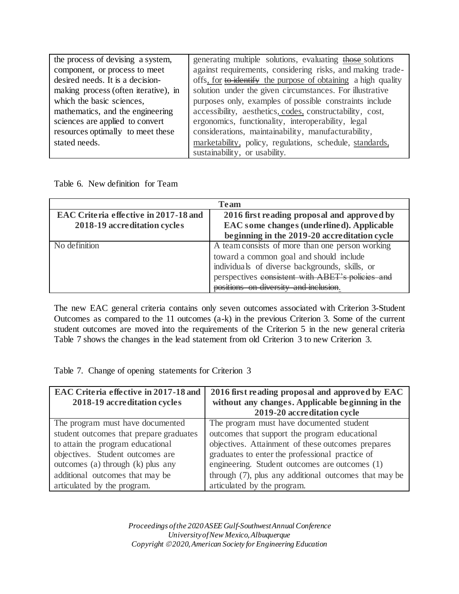| the process of devising a system,    | generating multiple solutions, evaluating those solutions     |
|--------------------------------------|---------------------------------------------------------------|
| component, or process to meet        | against requirements, considering risks, and making trade-    |
| desired needs. It is a decision-     | offs, for to identify the purpose of obtaining a high quality |
| making process (often iterative), in | solution under the given circumstances. For illustrative      |
| which the basic sciences,            | purposes only, examples of possible constraints include       |
| mathematics, and the engineering     | accessibility, aesthetics, codes, constructability, cost,     |
| sciences are applied to convert      | ergonomics, functionality, interoperability, legal            |
| resources optimally to meet these    | considerations, maintainability, manufacturability,           |
| stated needs.                        | marketability, policy, regulations, schedule, standards,      |
|                                      | sustainability, or usability.                                 |

Table 6. New definition for Team

| Team                                         |                                                  |  |
|----------------------------------------------|--------------------------------------------------|--|
| <b>EAC Criteria effective in 2017-18 and</b> | 2016 first reading proposal and approved by      |  |
| 2018-19 accreditation cycles                 | EAC some changes (underlined). Applicable        |  |
|                                              | beginning in the 2019-20 accreditation cycle     |  |
| No definition                                | A team consists of more than one person working  |  |
|                                              | toward a common goal and should include          |  |
|                                              | individuals of diverse backgrounds, skills, or   |  |
|                                              | perspectives consistent with ABET's policies and |  |
|                                              | positions on diversity and inclusion             |  |

The new EAC general criteria contains only seven outcomes associated with Criterion 3-Student Outcomes as compared to the 11 outcomes (a-k) in the previous Criterion 3. Some of the current student outcomes are moved into the requirements of the Criterion 5 in the new general criteria Table 7 shows the changes in the lead statement from old Criterion 3 to new Criterion 3.

Table 7. Change of opening statements for Criterion 3

| EAC Criteria effective in 2017-18 and<br>2018-19 accreditation cycles | 2016 first reading proposal and approved by EAC<br>without any changes. Applicable beginning in the<br>2019-20 accreditation cycle |
|-----------------------------------------------------------------------|------------------------------------------------------------------------------------------------------------------------------------|
| The program must have documented                                      | The program must have documented student                                                                                           |
| student outcomes that prepare graduates                               | outcomes that support the program educational                                                                                      |
| to attain the program educational                                     | objectives. Attainment of these outcomes prepares                                                                                  |
| objectives. Student outcomes are                                      | graduates to enter the professional practice of                                                                                    |
| outcomes (a) through (k) plus any                                     | engineering. Student outcomes are outcomes (1)                                                                                     |
| additional outcomes that may be                                       | through (7), plus any additional outcomes that may be                                                                              |
| articulated by the program.                                           | articulated by the program.                                                                                                        |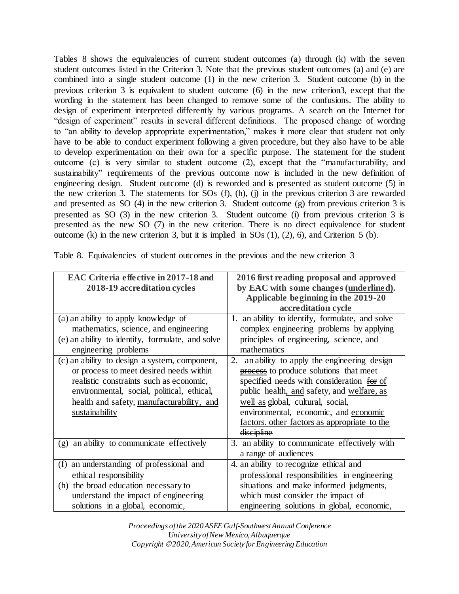Tables 8 shows the equivalencies of current student outcomes (a) through (k) with the seven student outcomes listed in the Criterion 3. Note that the previous student outcomes (a) and (e) are combined into a single student outcome (1) in the new criterion 3. Student outcome (b) in the previous criterion 3 is equivalent to student outcome (6) in the new criterion3, except that the wording in the statement has been changed to remove some of the confusions. The ability to design of experiment interpreted differently by various programs. A search on the Internet for "design of experiment" results in several different definitions. The proposed change of wording to "an ability to develop appropriate experimentation," makes it more clear that student not only have to be able to conduct experiment following a given procedure, but they also have to be able to develop experimentation on their own for a specific purpose. The statement for the student outcome (c) is very similar to student outcome (2), except that the "manufacturability, and sustainability" requirements of the previous outcome now is included in the new definition of engineering design. Student outcome (d) is reworded and is presented as student outcome (5) in the new criterion 3. The statements for SOs (f), (h), (j) in the previous criterion 3 are rewarded and presented as SO (4) in the new criterion 3. Student outcome (g) from previous criterion 3 is presented as SO (3) in the new criterion 3. Student outcome (i) from previous criterion 3 is presented as the new SO (7) in the new criterion. There is no direct equivalence for student outcome (k) in the new criterion 3, but it is implied in SOs (1), (2), 6), and Criterion 5 (b).

| <b>EAC Criteria effective in 2017-18 and</b><br>2018-19 accreditation cycles                                                                                                                                                                     | 2016 first reading proposal and approved<br>by EAC with some changes (underlined).<br>Applicable beginning in the 2019-20                                                                                                                                                                                                  |
|--------------------------------------------------------------------------------------------------------------------------------------------------------------------------------------------------------------------------------------------------|----------------------------------------------------------------------------------------------------------------------------------------------------------------------------------------------------------------------------------------------------------------------------------------------------------------------------|
|                                                                                                                                                                                                                                                  | accreditation cycle                                                                                                                                                                                                                                                                                                        |
| (a) an ability to apply knowledge of<br>mathematics, science, and engineering<br>(e) an ability to identify, formulate, and solve<br>engineering problems                                                                                        | 1. an ability to identify, formulate, and solve<br>complex engineering problems by applying<br>principles of engineering, science, and<br>mathematics                                                                                                                                                                      |
| (c) an ability to design a system, component,<br>or process to meet desired needs within<br>realistic constraints such as economic,<br>environmental, social, political, ethical,<br>health and safety, manufacturability, and<br>sustainability | an ability to apply the engineering design<br>2.<br>process to produce solutions that meet<br>specified needs with consideration for of<br>public health, and safety, and welfare, as<br>well as global, cultural, social,<br>environmental, economic, and economic<br>factors. other factors as appropriate<br>liscipline |
| an ability to communicate effectively<br>(g)                                                                                                                                                                                                     | 3. an ability to communicate effectively with<br>a range of audiences                                                                                                                                                                                                                                                      |
| an understanding of professional and<br>(f)<br>ethical responsibility<br>(h) the broad education necessary to<br>understand the impact of engineering<br>solutions in a global, economic,                                                        | 4. an ability to recognize ethical and<br>professional responsibilities in engineering<br>situations and make informed judgments,<br>which must consider the impact of<br>engineering solutions in global, economic,                                                                                                       |

Table 8. Equivalencies of student outcomes in the previous and the new criterion 3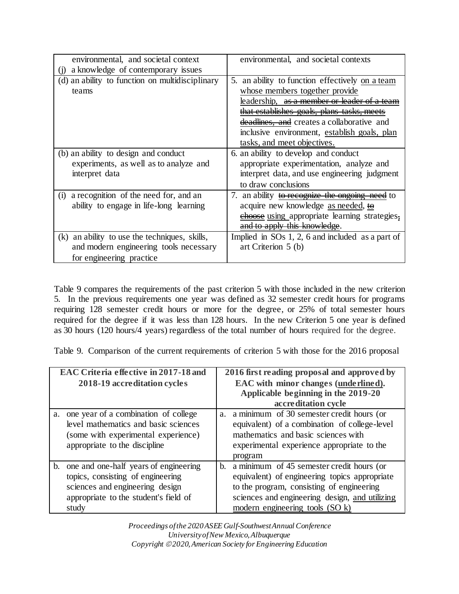| environmental, and societal context             | environmental, and societal contexts               |
|-------------------------------------------------|----------------------------------------------------|
| a knowledge of contemporary issues              |                                                    |
| (d) an ability to function on multidisciplinary | 5. an ability to function effectively on a team    |
| teams                                           | whose members together provide                     |
|                                                 | leadership, as a member or leader of               |
|                                                 | that establishes goals, plans tasks, meets         |
|                                                 | deadlines, and creates a collaborative and         |
|                                                 | inclusive environment, establish goals, plan       |
|                                                 | tasks, and meet objectives.                        |
| (b) an ability to design and conduct            | 6. an ability to develop and conduct               |
| experiments, as well as to analyze and          | appropriate experimentation, analyze and           |
| interpret data                                  | interpret data, and use engineering judgment       |
|                                                 | to draw conclusions                                |
| a recognition of the need for, and an<br>(i)    | 7. an ability to recognize the ongoing need to     |
| ability to engage in life-long learning         | acquire new knowledge as needed, to                |
|                                                 | choose using appropriate learning strategies,      |
|                                                 | and to apply this knowledge.                       |
| (k) an ability to use the techniques, skills,   | Implied in $SOs 1, 2, 6$ and included as a part of |
| and modern engineering tools necessary          | art Criterion 5 (b)                                |
| for engineering practice.                       |                                                    |

Table 9 compares the requirements of the past criterion 5 with those included in the new criterion 5. In the previous requirements one year was defined as 32 semester credit hours for programs requiring 128 semester credit hours or more for the degree, or 25% of total semester hours required for the degree if it was less than 128 hours. In the new Criterion 5 one year is defined as 30 hours (120 hours/4 years) regardless of the total number of hours required for the degree.

Table 9. Comparison of the current requirements of criterion 5 with those for the 2016 proposal

|    | EAC Criteria effective in 2017-18 and<br>2018-19 accreditation cycles                                                                                              |    | 2016 first reading proposal and approved by<br>EAC with minor changes (underlined).<br>Applicable beginning in the 2019-20<br>accreditation cycle                                                                              |
|----|--------------------------------------------------------------------------------------------------------------------------------------------------------------------|----|--------------------------------------------------------------------------------------------------------------------------------------------------------------------------------------------------------------------------------|
| a. | one year of a combination of college<br>level mathematics and basic sciences<br>(some with experimental experience)<br>appropriate to the discipline               | a. | a minimum of 30 semester credit hours (or<br>equivalent) of a combination of college-level<br>mathematics and basic sciences with<br>experimental experience appropriate to the<br>program                                     |
|    | b. one and one-half years of engineering<br>topics, consisting of engineering<br>sciences and engineering design<br>appropriate to the student's field of<br>study | b. | a minimum of 45 semester credit hours (or<br>equivalent) of engineering topics appropriate<br>to the program, consisting of engineering<br>sciences and engineering design, and utilizing<br>modern engineering tools $(SO k)$ |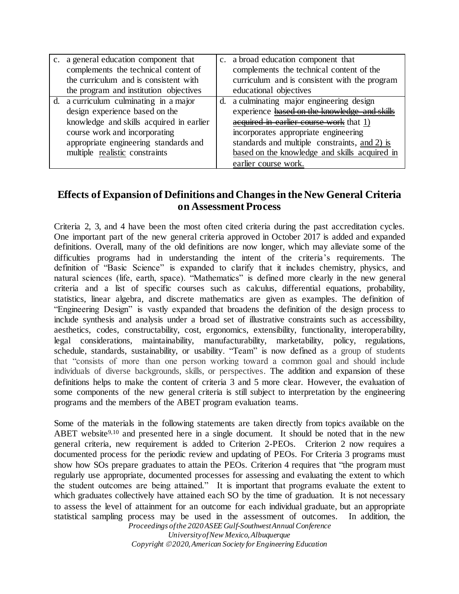| c. a general education component that<br>complements the technical content of<br>the curriculum and is consistent with<br>the program and institution objectives                                                                 |    | c. a broad education component that<br>complements the technical content of the<br>curriculum and is consistent with the program<br>educational objectives                                                                                                                                          |
|----------------------------------------------------------------------------------------------------------------------------------------------------------------------------------------------------------------------------------|----|-----------------------------------------------------------------------------------------------------------------------------------------------------------------------------------------------------------------------------------------------------------------------------------------------------|
| d. a curriculum culminating in a major<br>design experience based on the<br>knowledge and skills acquired in earlier<br>course work and incorporating<br>appropriate engineering standards and<br>multiple realistic constraints | d. | a culminating major engineering design<br>experience based on the knowledge and skills<br>acquired in earlier course work that 1)<br>incorporates appropriate engineering<br>standards and multiple constraints, and 2) is<br>based on the knowledge and skills acquired in<br>earlier course work. |

# **Effects of Expansion of Definitions and Changes in the New General Criteria on Assessment Process**

Criteria 2, 3, and 4 have been the most often cited criteria during the past accreditation cycles. One important part of the new general criteria approved in October 2017 is added and expanded definitions. Overall, many of the old definitions are now longer, which may alleviate some of the difficulties programs had in understanding the intent of the criteria's requirements. The definition of "Basic Science" is expanded to clarify that it includes chemistry, physics, and natural sciences (life, earth, space). "Mathematics" is defined more clearly in the new general criteria and a list of specific courses such as calculus, differential equations, probability, statistics, linear algebra, and discrete mathematics are given as examples. The definition of "Engineering Design" is vastly expanded that broadens the definition of the design process to include synthesis and analysis under a broad set of illustrative constraints such as accessibility, aesthetics, codes, constructability, cost, ergonomics, extensibility, functionality, interoperability, legal considerations, maintainability, manufacturability, marketability, policy, regulations, schedule, standards, sustainability, or usability. "Team" is now defined as a group of students that "consists of more than one person working toward a common goal and should include individuals of diverse backgrounds, skills, or perspectives. The addition and expansion of these definitions helps to make the content of criteria 3 and 5 more clear. However, the evaluation of some components of the new general criteria is still subject to interpretation by the engineering programs and the members of the ABET program evaluation teams.

*Proceedings of the 2020 ASEE Gulf-Southwest Annual Conference* Some of the materials in the following statements are taken directly from topics available on the ABET website<sup>9,10</sup> and presented here in a single document. It should be noted that in the new general criteria, new requirement is added to Criterion 2-PEOs. Criterion 2 now requires a documented process for the periodic review and updating of PEOs. For Criteria 3 programs must show how SOs prepare graduates to attain the PEOs. Criterion 4 requires that "the program must regularly use appropriate, documented processes for assessing and evaluating the extent to which the student outcomes are being attained." It is important that programs evaluate the extent to which graduates collectively have attained each SO by the time of graduation. It is not necessary to assess the level of attainment for an outcome for each individual graduate, but an appropriate statistical sampling process may be used in the assessment of outcomes. In addition, the

*University of New Mexico, Albuquerque Copyright 2020, American Society for Engineering Education*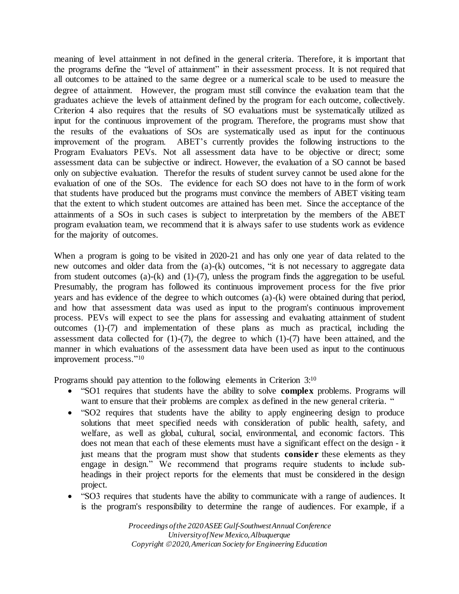meaning of level attainment in not defined in the general criteria. Therefore, it is important that the programs define the "level of attainment" in their assessment process. It is not required that all outcomes to be attained to the same degree or a numerical scale to be used to measure the degree of attainment. However, the program must still convince the evaluation team that the graduates achieve the levels of attainment defined by the program for each outcome, collectively. Criterion 4 also requires that the results of SO evaluations must be systematically utilized as input for the continuous improvement of the program. Therefore, the programs must show that the results of the evaluations of SOs are systematically used as input for the continuous improvement of the program. ABET's currently provides the following instructions to the Program Evaluators PEVs. Not all assessment data have to be objective or direct; some assessment data can be subjective or indirect. However, the evaluation of a SO cannot be based only on subjective evaluation. Therefor the results of student survey cannot be used alone for the evaluation of one of the SOs. The evidence for each SO does not have to in the form of work that students have produced but the programs must convince the members of ABET visiting team that the extent to which student outcomes are attained has been met. Since the acceptance of the attainments of a SOs in such cases is subject to interpretation by the members of the ABET program evaluation team, we recommend that it is always safer to use students work as evidence for the majority of outcomes.

When a program is going to be visited in 2020-21 and has only one year of data related to the new outcomes and older data from the (a)-(k) outcomes, "it is not necessary to aggregate data from student outcomes (a)-(k) and (1)-(7), unless the program finds the aggregation to be useful. Presumably, the program has followed its continuous improvement process for the five prior years and has evidence of the degree to which outcomes (a)-(k) were obtained during that period, and how that assessment data was used as input to the program's continuous improvement process. PEVs will expect to see the plans for assessing and evaluating attainment of student outcomes (1)-(7) and implementation of these plans as much as practical, including the assessment data collected for  $(1)-(7)$ , the degree to which  $(1)-(7)$  have been attained, and the manner in which evaluations of the assessment data have been used as input to the continuous improvement process." 10

Programs should pay attention to the following elements in Criterion 3:<sup>10</sup>

- "SO1 requires that students have the ability to solve **complex** problems. Programs will want to ensure that their problems are complex as defined in the new general criteria. "
- "SO2 requires that students have the ability to apply engineering design to produce solutions that meet specified needs with consideration of public health, safety, and welfare, as well as global, cultural, social, environmental, and economic factors. This does not mean that each of these elements must have a significant effect on the design - it just means that the program must show that students **consider** these elements as they engage in design." We recommend that programs require students to include subheadings in their project reports for the elements that must be considered in the design project.
- "SO3 requires that students have the ability to communicate with a range of audiences. It is the program's responsibility to determine the range of audiences. For example, if a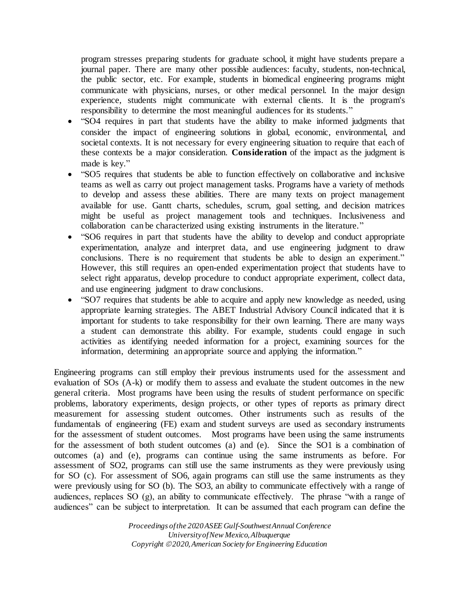program stresses preparing students for graduate school, it might have students prepare a journal paper. There are many other possible audiences: faculty, students, non-technical, the public sector, etc. For example, students in biomedical engineering programs might communicate with physicians, nurses, or other medical personnel. In the major design experience, students might communicate with external clients. It is the program's responsibility to determine the most meaningful audiences for its students."

- "SO4 requires in part that students have the ability to make informed judgments that consider the impact of engineering solutions in global, economic, environmental, and societal contexts. It is not necessary for every engineering situation to require that each of these contexts be a major consideration. **Consideration** of the impact as the judgment is made is key."
- "SO5 requires that students be able to function effectively on collaborative and inclusive teams as well as carry out project management tasks. Programs have a variety of methods to develop and assess these abilities. There are many texts on project management available for use. Gantt charts, schedules, scrum, goal setting, and decision matrices might be useful as project management tools and techniques. Inclusiveness and collaboration can be characterized using existing instruments in the literature."
- "SO6 requires in part that students have the ability to develop and conduct appropriate experimentation, analyze and interpret data, and use engineering judgment to draw conclusions. There is no requirement that students be able to design an experiment." However, this still requires an open-ended experimentation project that students have to select right apparatus, develop procedure to conduct appropriate experiment, collect data, and use engineering judgment to draw conclusions.
- "SO7 requires that students be able to acquire and apply new knowledge as needed, using appropriate learning strategies. The ABET Industrial Advisory Council indicated that it is important for students to take responsibility for their own learning. There are many ways a student can demonstrate this ability. For example, students could engage in such activities as identifying needed information for a project, examining sources for the information, determining an appropriate source and applying the information."

Engineering programs can still employ their previous instruments used for the assessment and evaluation of SOs (A-k) or modify them to assess and evaluate the student outcomes in the new general criteria. Most programs have been using the results of student performance on specific problems, laboratory experiments, design projects, or other types of reports as primary direct measurement for assessing student outcomes. Other instruments such as results of the fundamentals of engineering (FE) exam and student surveys are used as secondary instruments for the assessment of student outcomes. Most programs have been using the same instruments for the assessment of both student outcomes (a) and (e). Since the SO1 is a combination of outcomes (a) and (e), programs can continue using the same instruments as before. For assessment of SO2, programs can still use the same instruments as they were previously using for SO (c). For assessment of SO6, again programs can still use the same instruments as they were previously using for SO (b). The SO3, an ability to communicate effectively with a range of audiences, replaces SO (g), an ability to communicate effectively. The phrase "with a range of audiences" can be subject to interpretation. It can be assumed that each program can define the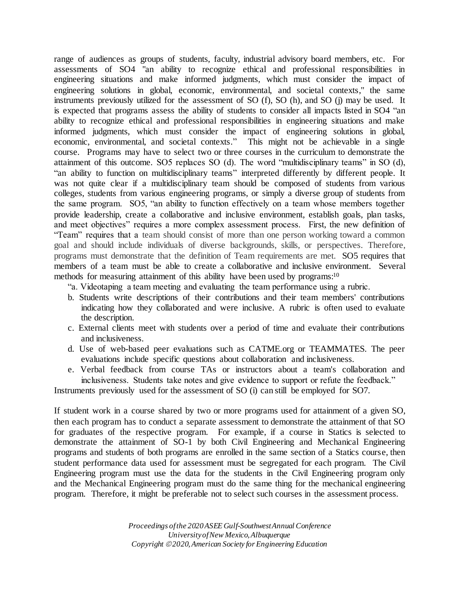range of audiences as groups of students, faculty, industrial advisory board members, etc. For assessments of SO4 "an ability to recognize ethical and professional responsibilities in engineering situations and make informed judgments, which must consider the impact of engineering solutions in global, economic, environmental, and societal contexts," the same instruments previously utilized for the assessment of SO (f), SO (h), and SO (j) may be used. It is expected that programs assess the ability of students to consider all impacts listed in SO4 "an ability to recognize ethical and professional responsibilities in engineering situations and make informed judgments, which must consider the impact of engineering solutions in global, economic, environmental, and societal contexts." This might not be achievable in a single course. Programs may have to select two or three courses in the curriculum to demonstrate the attainment of this outcome. SO5 replaces SO (d). The word "multidisciplinary teams" in SO (d), "an ability to function on multidisciplinary teams" interpreted differently by different people. It was not quite clear if a multidisciplinary team should be composed of students from various colleges, students from various engineering programs, or simply a diverse group of students from the same program. SO5, "an ability to function effectively on a team whose members together provide leadership, create a collaborative and inclusive environment, establish goals, plan tasks, and meet objectives" requires a more complex assessment process. First, the new definition of "Team" requires that a team should consist of more than one person working toward a common goal and should include individuals of diverse backgrounds, skills, or perspectives. Therefore, programs must demonstrate that the definition of Team requirements are met. SO5 requires that members of a team must be able to create a collaborative and inclusive environment. Several methods for measuring attainment of this ability have been used by programs:<sup>10</sup>

"a. Videotaping a team meeting and evaluating the team performance using a rubric.

- b. Students write descriptions of their contributions and their team members' contributions indicating how they collaborated and were inclusive. A rubric is often used to evaluate the description.
- c. External clients meet with students over a period of time and evaluate their contributions and inclusiveness.
- d. Use of web-based peer evaluations such as CATME.org or TEAMMATES. The peer evaluations include specific questions about collaboration and inclusiveness.
- e. Verbal feedback from course TAs or instructors about a team's collaboration and inclusiveness. Students take notes and give evidence to support or refute the feedback."

Instruments previously used for the assessment of SO (i) can still be employed for SO7.

If student work in a course shared by two or more programs used for attainment of a given SO, then each program has to conduct a separate assessment to demonstrate the attainment of that SO for graduates of the respective program. For example, if a course in Statics is selected to demonstrate the attainment of SO-1 by both Civil Engineering and Mechanical Engineering programs and students of both programs are enrolled in the same section of a Statics course, then student performance data used for assessment must be segregated for each program. The Civil Engineering program must use the data for the students in the Civil Engineering program only and the Mechanical Engineering program must do the same thing for the mechanical engineering program. Therefore, it might be preferable not to select such courses in the assessment process.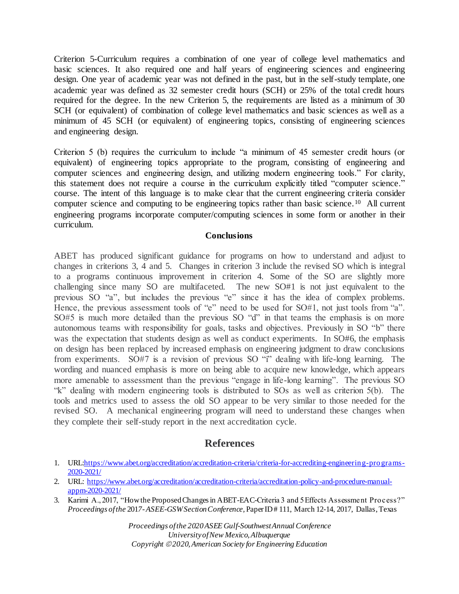Criterion 5-Curriculum requires a combination of one year of college level mathematics and basic sciences. It also required one and half years of engineering sciences and engineering design. One year of academic year was not defined in the past, but in the self-study template, one academic year was defined as 32 semester credit hours (SCH) or 25% of the total credit hours required for the degree. In the new Criterion 5, the requirements are listed as a minimum of 30 SCH (or equivalent) of combination of college level mathematics and basic sciences as well as a minimum of 45 SCH (or equivalent) of engineering topics, consisting of engineering sciences and engineering design.

Criterion 5 (b) requires the curriculum to include "a minimum of 45 semester credit hours (or equivalent) of engineering topics appropriate to the program, consisting of engineering and computer sciences and engineering design, and utilizing modern engineering tools." For clarity, this statement does not require a course in the curriculum explicitly titled "computer science." course. The intent of this language is to make clear that the current engineering criteria consider computer science and computing to be engineering topics rather than basic science. <sup>10</sup> All current engineering programs incorporate computer/computing sciences in some form or another in their curriculum.

## **Conclusions**

ABET has produced significant guidance for programs on how to understand and adjust to changes in criterions 3, 4 and 5. Changes in criterion 3 include the revised SO which is integral to a programs continuous improvement in criterion 4. Some of the SO are slightly more challenging since many SO are multifaceted. The new SO#1 is not just equivalent to the previous SO "a", but includes the previous "e" since it has the idea of complex problems. Hence, the previous assessment tools of "e" need to be used for SO#1, not just tools from "a". SO#5 is much more detailed than the previous SO "d" in that teams the emphasis is on more autonomous teams with responsibility for goals, tasks and objectives. Previously in SO "b" there was the expectation that students design as well as conduct experiments. In SO#6, the emphasis on design has been replaced by increased emphasis on engineering judgment to draw conclusions from experiments. SO#7 is a revision of previous SO "i" dealing with life-long learning. The wording and nuanced emphasis is more on being able to acquire new knowledge, which appears more amenable to assessment than the previous "engage in life-long learning". The previous SO "k" dealing with modern engineering tools is distributed to SOs as well as criterion 5(b). The tools and metrics used to assess the old SO appear to be very similar to those needed for the revised SO. A mechanical engineering program will need to understand these changes when they complete their self-study report in the next accreditation cycle.

## **References**

- 1. URL[:https://www.abet.org/accreditation/accreditation-criteria/criteria-for-accrediting-engineering-programs-](https://www.abet.org/accreditation/accreditation-criteria/criteria-for-accrediting-engineering-programs-2020-2021/)[2020-2021/](https://www.abet.org/accreditation/accreditation-criteria/criteria-for-accrediting-engineering-programs-2020-2021/)
- 2. URL: [https://www.abet.org/accreditation/accreditation-criteria/accreditation-policy-and-procedure-manual](https://www.abet.org/accreditation/accreditation-criteria/accreditation-policy-and-procedure-manual-appm-2020-2021/)[appm-2020-2021/](https://www.abet.org/accreditation/accreditation-criteria/accreditation-policy-and-procedure-manual-appm-2020-2021/)
- 3. Karimi A., 2017, "How the Proposed Changes in ABET-EAC-Criteria 3 and 5 Effects Assessment Process?" *Proceedings of the* 201*7-ASEE-GSW Section Conference,* Paper ID # 111, March 12-14, 2017, Dallas, Texas